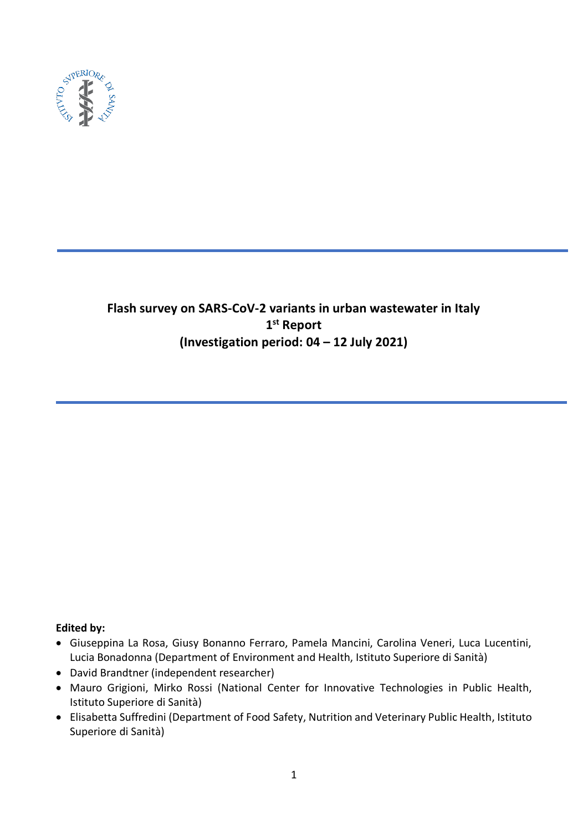

# **Flash survey on SARS-CoV-2 variants in urban wastewater in Italy 1 st Report (Investigation period: 04 – 12 July 2021)**

## **Edited by:**

- Giuseppina La Rosa, Giusy Bonanno Ferraro, Pamela Mancini, Carolina Veneri, Luca Lucentini, Lucia Bonadonna (Department of Environment and Health, Istituto Superiore di Sanità)
- David Brandtner (independent researcher)
- Mauro Grigioni, Mirko Rossi (National Center for Innovative Technologies in Public Health, Istituto Superiore di Sanità)
- Elisabetta Suffredini (Department of Food Safety, Nutrition and Veterinary Public Health, Istituto Superiore di Sanità)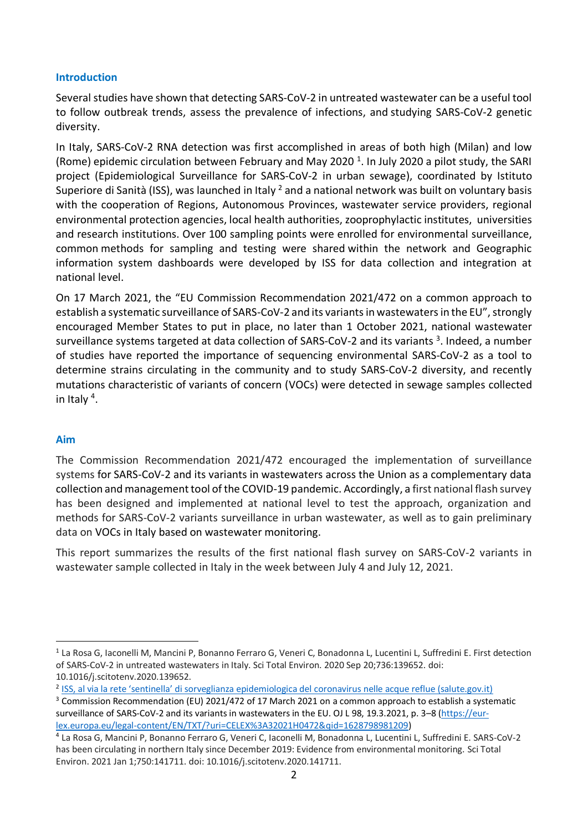## **Introduction**

Several studies have shown that detecting SARS-CoV-2 in untreated wastewater can be a useful tool to follow outbreak trends, assess the prevalence of infections, and studying SARS-CoV-2 genetic diversity.

In Italy, SARS-CoV-2 RNA detection was first accomplished in areas of both high (Milan) and low (Rome) epidemic circulation between February and May 2020<sup>1</sup>. In July 2020 a pilot study, the SARI project (Epidemiological Surveillance for SARS-CoV-2 in urban sewage), coordinated by Istituto Superiore di Sanità (ISS), was launched in Italy <sup>2</sup> and a national network was built on voluntary basis with the cooperation of Regions, Autonomous Provinces, wastewater service providers, regional environmental protection agencies, local health authorities, zooprophylactic institutes, universities and research institutions. Over 100 sampling points were enrolled for environmental surveillance, common methods for sampling and testing were shared within the network and Geographic information system dashboards were developed by ISS for data collection and integration at national level.

On 17 March 2021, the "EU Commission Recommendation 2021/472 on a common approach to establish a systematic surveillance of SARS-CoV-2 and its variants in wastewaters in the EU", strongly encouraged Member States to put in place, no later than 1 October 2021, national wastewater surveillance systems targeted at data collection of SARS-CoV-2 and its variants <sup>3</sup>. Indeed, a number of studies have reported the importance of sequencing environmental SARS-CoV-2 as a tool to determine strains circulating in the community and to study SARS-CoV-2 diversity, and recently mutations characteristic of variants of concern (VOCs) were detected in sewage samples collected in Italy<sup>4</sup>.

## **Aim**

The Commission Recommendation 2021/472 encouraged the implementation of surveillance systems for SARS-CoV-2 and its variants in wastewaters across the Union as a complementary data collection and management tool of the COVID-19 pandemic. Accordingly, a first national flash survey has been designed and implemented at national level to test the approach, organization and methods for SARS-CoV-2 variants surveillance in urban wastewater, as well as to gain preliminary data on VOCs in Italy based on wastewater monitoring.

This report summarizes the results of the first national flash survey on SARS-CoV-2 variants in wastewater sample collected in Italy in the week between July 4 and July 12, 2021.

<sup>&</sup>lt;sup>1</sup> La Rosa G, Iaconelli M, Mancini P, Bonanno Ferraro G, Veneri C, Bonadonna L, Lucentini L, Suffredini E. First detection of SARS-CoV-2 in untreated wastewaters in Italy. Sci Total Environ. 2020 Sep 20;736:139652. doi: 10.1016/j.scitotenv.2020.139652.

<sup>&</sup>lt;sup>2</sup> [ISS, al via la rete 'sentinella' di sorveglianza epidemiologica del coronavirus nelle acque reflue \(salute.gov.it\)](https://www.salute.gov.it/portale/nuovocoronavirus/dettaglioNotizieNuovoCoronavirus.jsp?lingua=italiano&menu=notizie&p=dalministero&id=4953)

<sup>&</sup>lt;sup>3</sup> Commission Recommendation (EU) 2021/472 of 17 March 2021 on a common approach to establish a systematic surveillance of SARS-CoV-2 and its variants in wastewaters in the EU. OJ L 98, 19.3.2021, p. 3–8 [\(https://eur](https://eur-lex.europa.eu/legal-content/EN/TXT/?uri=CELEX%3A32021H0472&qid=1628798981209)[lex.europa.eu/legal-content/EN/TXT/?uri=CELEX%3A32021H0472&qid=1628798981209\)](https://eur-lex.europa.eu/legal-content/EN/TXT/?uri=CELEX%3A32021H0472&qid=1628798981209)

<sup>4</sup> La Rosa G, Mancini P, Bonanno Ferraro G, Veneri C, Iaconelli M, Bonadonna L, Lucentini L, Suffredini E. SARS-CoV-2 has been circulating in northern Italy since December 2019: Evidence from environmental monitoring. Sci Total Environ. 2021 Jan 1;750:141711. doi: 10.1016/j.scitotenv.2020.141711.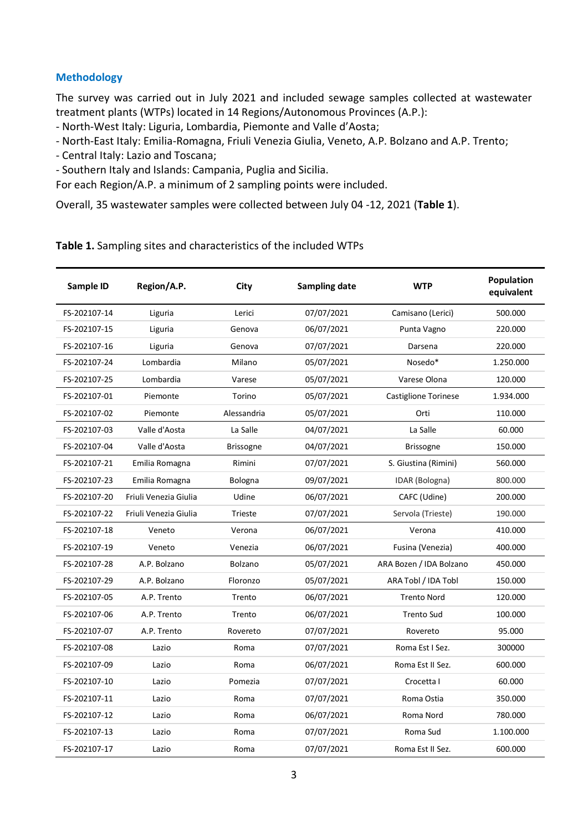## **Methodology**

The survey was carried out in July 2021 and included sewage samples collected at wastewater treatment plants (WTPs) located in 14 Regions/Autonomous Provinces (A.P.):

- North-West Italy: Liguria, Lombardia, Piemonte and Valle d'Aosta;
- North-East Italy: Emilia-Romagna, Friuli Venezia Giulia, Veneto, A.P. Bolzano and A.P. Trento;
- Central Italy: Lazio and Toscana;
- Southern Italy and Islands: Campania, Puglia and Sicilia.

For each Region/A.P. a minimum of 2 sampling points were included.

Overall, 35 wastewater samples were collected between July 04 -12, 2021 (**Table 1**).

#### **Table 1.** Sampling sites and characteristics of the included WTPs

| Sample ID    | Region/A.P.           | City             | <b>Sampling date</b> | <b>WTP</b>              | Population<br>equivalent |
|--------------|-----------------------|------------------|----------------------|-------------------------|--------------------------|
| FS-202107-14 | Liguria               | Lerici           | 07/07/2021           | Camisano (Lerici)       | 500.000                  |
| FS-202107-15 | Liguria               | Genova           | 06/07/2021           | Punta Vagno             | 220.000                  |
| FS-202107-16 | Liguria               | Genova           | 07/07/2021           | Darsena                 | 220.000                  |
| FS-202107-24 | Lombardia             | Milano           | 05/07/2021           | Nosedo*                 | 1.250.000                |
| FS-202107-25 | Lombardia             | Varese           | 05/07/2021           | Varese Olona            | 120.000                  |
| FS-202107-01 | Piemonte              | Torino           | 05/07/2021           | Castiglione Torinese    | 1.934.000                |
| FS-202107-02 | Piemonte              | Alessandria      | 05/07/2021           | Orti                    | 110.000                  |
| FS-202107-03 | Valle d'Aosta         | La Salle         | 04/07/2021           | La Salle                | 60.000                   |
| FS-202107-04 | Valle d'Aosta         | <b>Brissogne</b> | 04/07/2021           | <b>Brissogne</b>        | 150.000                  |
| FS-202107-21 | Emilia Romagna        | Rimini           | 07/07/2021           | S. Giustina (Rimini)    | 560.000                  |
| FS-202107-23 | Emilia Romagna        | Bologna          | 09/07/2021           | IDAR (Bologna)          | 800.000                  |
| FS-202107-20 | Friuli Venezia Giulia | Udine            | 06/07/2021           | CAFC (Udine)            | 200.000                  |
| FS-202107-22 | Friuli Venezia Giulia | Trieste          | 07/07/2021           | Servola (Trieste)       | 190.000                  |
| FS-202107-18 | Veneto                | Verona           | 06/07/2021           | Verona                  | 410.000                  |
| FS-202107-19 | Veneto                | Venezia          | 06/07/2021           | Fusina (Venezia)        | 400.000                  |
| FS-202107-28 | A.P. Bolzano          | Bolzano          | 05/07/2021           | ARA Bozen / IDA Bolzano | 450.000                  |
| FS-202107-29 | A.P. Bolzano          | Floronzo         | 05/07/2021           | ARA Tobl / IDA Tobl     | 150.000                  |
| FS-202107-05 | A.P. Trento           | Trento           | 06/07/2021           | <b>Trento Nord</b>      | 120.000                  |
| FS-202107-06 | A.P. Trento           | Trento           | 06/07/2021           | <b>Trento Sud</b>       | 100.000                  |
| FS-202107-07 | A.P. Trento           | Rovereto         | 07/07/2021           | Rovereto                | 95.000                   |
| FS-202107-08 | Lazio                 | Roma             | 07/07/2021           | Roma Est I Sez.         | 300000                   |
| FS-202107-09 | Lazio                 | Roma             | 06/07/2021           | Roma Est II Sez.        | 600.000                  |
| FS-202107-10 | Lazio                 | Pomezia          | 07/07/2021           | Crocetta I              | 60.000                   |
| FS-202107-11 | Lazio                 | Roma             | 07/07/2021           | Roma Ostia              | 350.000                  |
| FS-202107-12 | Lazio                 | Roma             | 06/07/2021           | Roma Nord               | 780.000                  |
| FS-202107-13 | Lazio                 | Roma             | 07/07/2021           | Roma Sud                | 1.100.000                |
| FS-202107-17 | Lazio                 | Roma             | 07/07/2021           | Roma Est II Sez.        | 600.000                  |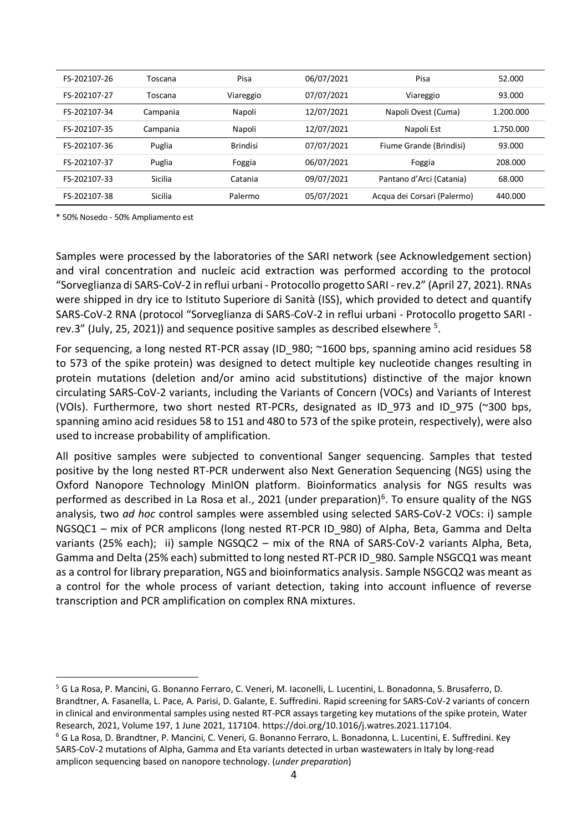| FS-202107-26 | Toscana  | Pisa            | 06/07/2021 | Pisa                        | 52.000    |
|--------------|----------|-----------------|------------|-----------------------------|-----------|
| FS-202107-27 | Toscana  | Viareggio       | 07/07/2021 | Viareggio                   | 93.000    |
| FS-202107-34 | Campania | Napoli          | 12/07/2021 | Napoli Ovest (Cuma)         | 1.200.000 |
| FS-202107-35 | Campania | Napoli          | 12/07/2021 | Napoli Est                  | 1.750.000 |
| FS-202107-36 | Puglia   | <b>Brindisi</b> | 07/07/2021 | Fiume Grande (Brindisi)     | 93.000    |
| FS-202107-37 | Puglia   | Foggia          | 06/07/2021 | Foggia                      | 208.000   |
| FS-202107-33 | Sicilia  | Catania         | 09/07/2021 | Pantano d'Arci (Catania)    | 68,000    |
| FS-202107-38 | Sicilia  | Palermo         | 05/07/2021 | Acqua dei Corsari (Palermo) | 440.000   |

\* 50% Nosedo - 50% Ampliamento est

Samples were processed by the laboratories of the SARI network (see Acknowledgement section) and viral concentration and nucleic acid extraction was performed according to the protocol "Sorveglianza di SARS-CoV-2 in reflui urbani - Protocollo progetto SARI -rev.2" (April 27, 2021). RNAs were shipped in dry ice to Istituto Superiore di Sanità (ISS), which provided to detect and quantify SARS-CoV-2 RNA (protocol "Sorveglianza di SARS-CoV-2 in reflui urbani - Protocollo progetto SARI rev.3" (July, 25, 2021)) and sequence positive samples as described elsewhere  $5$ .

For sequencing, a long nested RT-PCR assay (ID\_980; ~1600 bps, spanning amino acid residues 58 to 573 of the spike protein) was designed to detect multiple key nucleotide changes resulting in protein mutations (deletion and/or amino acid substitutions) distinctive of the major known circulating SARS-CoV-2 variants, including the Variants of Concern (VOCs) and Variants of Interest (VOIs). Furthermore, two short nested RT-PCRs, designated as ID\_973 and ID\_975 (~300 bps, spanning amino acid residues 58 to 151 and 480 to 573 of the spike protein, respectively), were also used to increase probability of amplification.

All positive samples were subjected to conventional Sanger sequencing. Samples that tested positive by the long nested RT-PCR underwent also Next Generation Sequencing (NGS) using the Oxford Nanopore Technology MinION platform. Bioinformatics analysis for NGS results was performed as described in La Rosa et al., 2021 (under preparation)<sup>6</sup>. To ensure quality of the NGS analysis, two *ad hoc* control samples were assembled using selected SARS-CoV-2 VOCs: i) sample NGSQC1 – mix of PCR amplicons (long nested RT-PCR ID\_980) of Alpha, Beta, Gamma and Delta variants (25% each); ii) sample NGSQC2 – mix of the RNA of SARS-CoV-2 variants Alpha, Beta, Gamma and Delta (25% each) submitted to long nested RT-PCR ID\_980. Sample NSGCQ1 was meant as a control for library preparation, NGS and bioinformatics analysis. Sample NSGCQ2 was meant as a control for the whole process of variant detection, taking into account influence of reverse transcription and PCR amplification on complex RNA mixtures.

<sup>5</sup> G La Rosa, P. Mancini, G. Bonanno Ferraro, C. Veneri, M. Iaconelli, L. Lucentini, L. Bonadonna, S. Brusaferro, D. Brandtner, A. Fasanella, L. Pace, A. Parisi, D. Galante, E. Suffredini. Rapid screening for SARS-CoV-2 variants of concern in clinical and environmental samples using nested RT-PCR assays targeting key mutations of the spike protein, Water Research, 2021, Volume 197, 1 June 2021, 117104. https://doi.org/10.1016/j.watres.2021.117104.

<sup>6</sup> G La Rosa, D. Brandtner, P. Mancini, C. Veneri, G. Bonanno Ferraro, L. Bonadonna, L. Lucentini, E. Suffredini. Key SARS-CoV-2 mutations of Alpha, Gamma and Eta variants detected in urban wastewaters in Italy by long-read amplicon sequencing based on nanopore technology. (*under preparation*)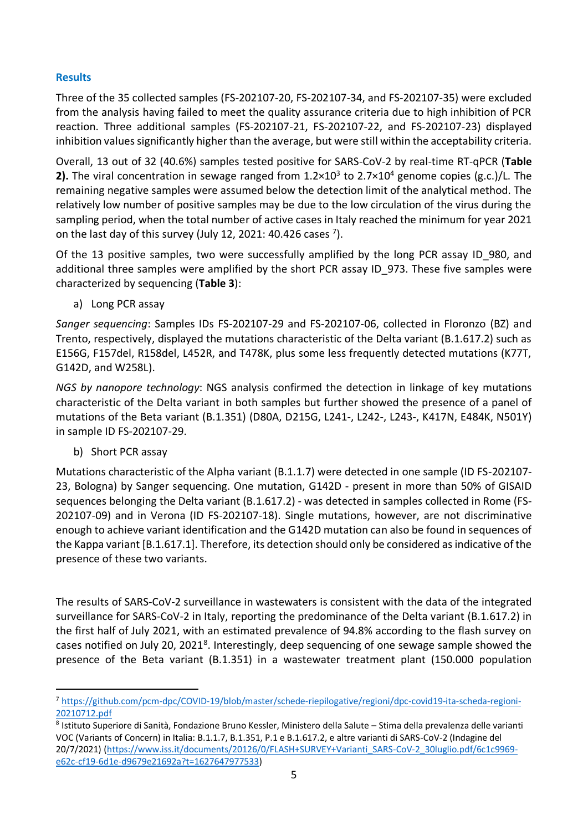# **Results**

Three of the 35 collected samples (FS-202107-20, FS-202107-34, and FS-202107-35) were excluded from the analysis having failed to meet the quality assurance criteria due to high inhibition of PCR reaction. Three additional samples (FS-202107-21, FS-202107-22, and FS-202107-23) displayed inhibition values significantly higher than the average, but were still within the acceptability criteria.

Overall, 13 out of 32 (40.6%) samples tested positive for SARS-CoV-2 by real-time RT-qPCR (**Table 2).** The viral concentration in sewage ranged from 1.2×10<sup>3</sup> to 2.7×10<sup>4</sup> genome copies (g.c.)/L. The remaining negative samples were assumed below the detection limit of the analytical method. The relatively low number of positive samples may be due to the low circulation of the virus during the sampling period, when the total number of active cases in Italy reached the minimum for year 2021 on the last day of this survey (July 12, 2021: 40.426 cases  $^7$ ).

Of the 13 positive samples, two were successfully amplified by the long PCR assay ID\_980, and additional three samples were amplified by the short PCR assay ID\_973. These five samples were characterized by sequencing (**Table 3**):

a) Long PCR assay

*Sanger sequencing*: Samples IDs FS-202107-29 and FS-202107-06, collected in Floronzo (BZ) and Trento, respectively, displayed the mutations characteristic of the Delta variant (B.1.617.2) such as E156G, F157del, R158del, L452R, and T478K, plus some less frequently detected mutations (K77T, G142D, and W258L).

*NGS by nanopore technology*: NGS analysis confirmed the detection in linkage of key mutations characteristic of the Delta variant in both samples but further showed the presence of a panel of mutations of the Beta variant (B.1.351) (D80A, D215G, L241-, L242-, L243-, K417N, E484K, N501Y) in sample ID FS-202107-29.

b) Short PCR assay

Mutations characteristic of the Alpha variant (B.1.1.7) were detected in one sample (ID FS-202107- 23, Bologna) by Sanger sequencing. One mutation, G142D - present in more than 50% of GISAID sequences belonging the Delta variant (B.1.617.2) - was detected in samples collected in Rome (FS-202107-09) and in Verona (ID FS-202107-18). Single mutations, however, are not discriminative enough to achieve variant identification and the G142D mutation can also be found in sequences of the Kappa variant [B.1.617.1]. Therefore, its detection should only be considered as indicative of the presence of these two variants.

The results of SARS-CoV-2 surveillance in wastewaters is consistent with the data of the integrated surveillance for SARS-CoV-2 in Italy, reporting the predominance of the Delta variant (B.1.617.2) in the first half of July 2021, with an estimated prevalence of 94.8% according to the flash survey on cases notified on July 20, 2021<sup>8</sup>. Interestingly, deep sequencing of one sewage sample showed the presence of the Beta variant (B.1.351) in a wastewater treatment plant (150.000 population

<sup>7</sup> [https://github.com/pcm-dpc/COVID-19/blob/master/schede-riepilogative/regioni/dpc-covid19-ita-scheda-regioni-](https://github.com/pcm-dpc/COVID-19/blob/master/schede-riepilogative/regioni/dpc-covid19-ita-scheda-regioni-20210712.pdf)[20210712.pdf](https://github.com/pcm-dpc/COVID-19/blob/master/schede-riepilogative/regioni/dpc-covid19-ita-scheda-regioni-20210712.pdf)

<sup>8</sup> Istituto Superiore di Sanità, Fondazione Bruno Kessler, Ministero della Salute – Stima della prevalenza delle varianti VOC (Variants of Concern) in Italia: B.1.1.7, B.1.351, P.1 e B.1.617.2, e altre varianti di SARS-CoV-2 (Indagine del 20/7/2021) [\(https://www.iss.it/documents/20126/0/FLASH+SURVEY+Varianti\\_SARS-CoV-2\\_30luglio.pdf/6c1c9969](https://www.iss.it/documents/20126/0/FLASH+SURVEY+Varianti_SARS-CoV-2_30luglio.pdf/6c1c9969-e62c-cf19-6d1e-d9679e21692a?t=1627647977533) [e62c-cf19-6d1e-d9679e21692a?t=1627647977533\)](https://www.iss.it/documents/20126/0/FLASH+SURVEY+Varianti_SARS-CoV-2_30luglio.pdf/6c1c9969-e62c-cf19-6d1e-d9679e21692a?t=1627647977533)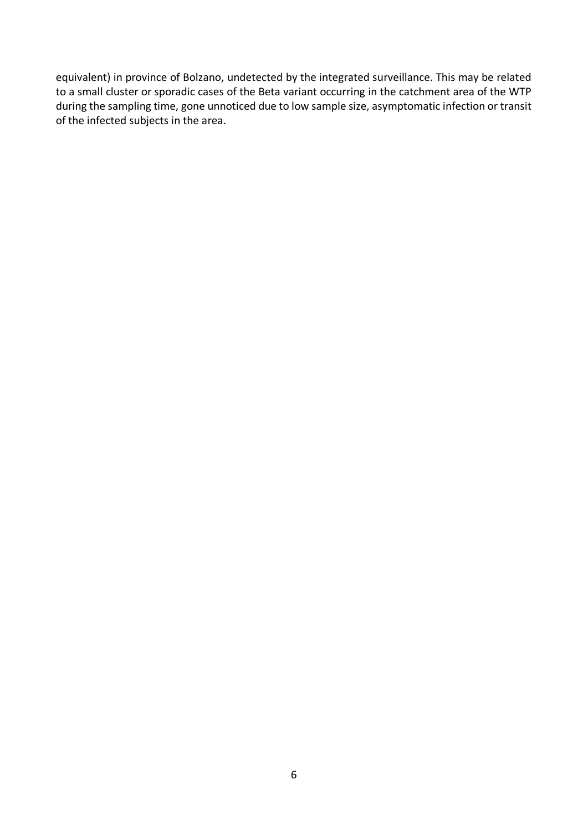equivalent) in province of Bolzano, undetected by the integrated surveillance. This may be related to a small cluster or sporadic cases of the Beta variant occurring in the catchment area of the WTP during the sampling time, gone unnoticed due to low sample size, asymptomatic infection or transit of the infected subjects in the area.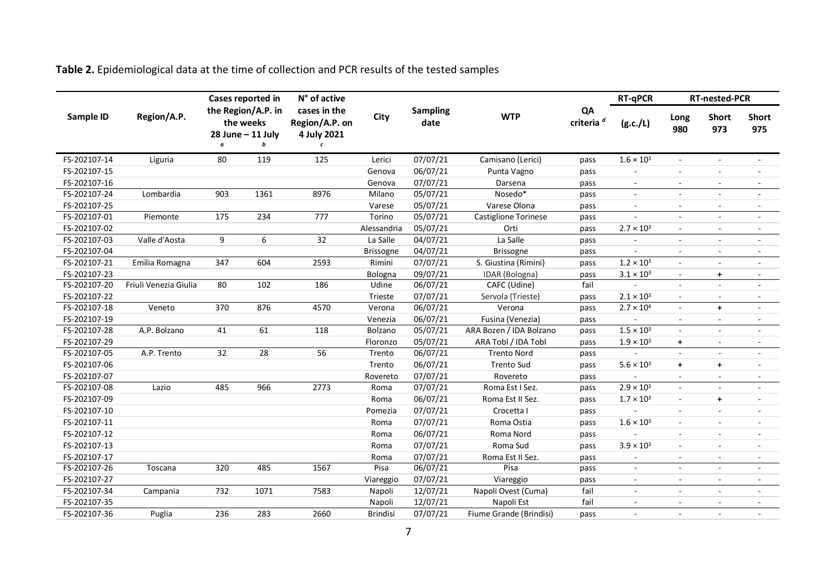**Table 2.** Epidemiological data at the time of collection and PCR results of the tested samples

|              |                       |     | Cases reported in                                         | N° of active                                                |                 |                         |                         |                             | <b>RT-qPCR</b>           | <b>RT-nested-PCR</b>     |                          |                          |
|--------------|-----------------------|-----|-----------------------------------------------------------|-------------------------------------------------------------|-----------------|-------------------------|-------------------------|-----------------------------|--------------------------|--------------------------|--------------------------|--------------------------|
| Sample ID    | Region/A.P.           | a   | the Region/A.P. in<br>the weeks<br>28 June - 11 July<br>b | cases in the<br>Region/A.P. on<br>4 July 2021<br>$\epsilon$ | City            | <b>Sampling</b><br>date | <b>WTP</b>              | QA<br>criteria <sup>d</sup> | (g.c./L)                 | Long<br>980              | <b>Short</b><br>973      | <b>Short</b><br>975      |
| FS-202107-14 | Liguria               | 80  | 119                                                       | 125                                                         | Lerici          | 07/07/21                | Camisano (Lerici)       | pass                        | $1.6 \times 10^{3}$      | $\blacksquare$           | $\blacksquare$           |                          |
| FS-202107-15 |                       |     |                                                           |                                                             | Genova          | 06/07/21                | Punta Vagno             | pass                        |                          | $\sim$                   | $\sim$                   | $\sim$                   |
| FS-202107-16 |                       |     |                                                           |                                                             | Genova          | 07/07/21                | Darsena                 | pass                        | $\sim$                   | $\blacksquare$           | $\overline{\phantom{a}}$ | $\blacksquare$           |
| FS-202107-24 | Lombardia             | 903 | 1361                                                      | 8976                                                        | Milano          | 05/07/21                | Nosedo*                 | pass                        | $\sim$                   | $\blacksquare$           | $\blacksquare$           | $\sim$                   |
| FS-202107-25 |                       |     |                                                           |                                                             | Varese          | 05/07/21                | Varese Olona            | pass                        | $\overline{\phantom{a}}$ | $\overline{\phantom{a}}$ | $\overline{\phantom{a}}$ | $\overline{\phantom{a}}$ |
| FS-202107-01 | Piemonte              | 175 | 234                                                       | 777                                                         | Torino          | 05/07/21                | Castiglione Torinese    | pass                        |                          | $\blacksquare$           | $\blacksquare$           |                          |
| FS-202107-02 |                       |     |                                                           |                                                             | Alessandria     | 05/07/21                | Orti                    | pass                        | $2.7 \times 10^{3}$      | $\blacksquare$           | $\blacksquare$           | $\blacksquare$           |
| FS-202107-03 | Valle d'Aosta         | 9   | 6                                                         | 32                                                          | La Salle        | 04/07/21                | La Salle                | pass                        |                          | $\blacksquare$           | $\blacksquare$           | $\sim$                   |
| FS-202107-04 |                       |     |                                                           |                                                             | Brissogne       | 04/07/21                | <b>Brissogne</b>        | pass                        |                          | $\sim$                   | $\overline{\phantom{a}}$ | $\overline{\phantom{a}}$ |
| FS-202107-21 | Emilia Romagna        | 347 | 604                                                       | 2593                                                        | Rimini          | 07/07/21                | S. Giustina (Rimini)    | pass                        | $1.2 \times 10^{3}$      | $\blacksquare$           | $\blacksquare$           |                          |
| FS-202107-23 |                       |     |                                                           |                                                             | Bologna         | 09/07/21                | IDAR (Bologna)          | pass                        | $3.1 \times 10^{3}$      | $\overline{\phantom{a}}$ | $\ddot{}$                | $\overline{\phantom{a}}$ |
| FS-202107-20 | Friuli Venezia Giulia | 80  | 102                                                       | 186                                                         | Udine           | 06/07/21                | CAFC (Udine)            | fail                        |                          | $\sim$                   | $\sim$                   |                          |
| FS-202107-22 |                       |     |                                                           |                                                             | Trieste         | 07/07/21                | Servola (Trieste)       | pass                        | $2.1 \times 10^{3}$      | $\blacksquare$           | $\blacksquare$           |                          |
| FS-202107-18 | Veneto                | 370 | 876                                                       | 4570                                                        | Verona          | 06/07/21                | Verona                  | pass                        | $2.7 \times 10^{4}$      | $\sim$                   | $\ddot{+}$               | $\overline{\phantom{a}}$ |
| FS-202107-19 |                       |     |                                                           |                                                             | Venezia         | 06/07/21                | Fusina (Venezia)        | pass                        |                          | $\blacksquare$           | $\blacksquare$           | ÷,                       |
| FS-202107-28 | A.P. Bolzano          | 41  | 61                                                        | 118                                                         | Bolzano         | 05/07/21                | ARA Bozen / IDA Bolzano | pass                        | $1.5 \times 10^3$        | $\sim$                   | $\blacksquare$           |                          |
| FS-202107-29 |                       |     |                                                           |                                                             | Floronzo        | 05/07/21                | ARA Tobl / IDA Tobl     | pass                        | $1.9 \times 10^{3}$      | $+$                      | $\overline{\phantom{a}}$ |                          |
| FS-202107-05 | A.P. Trento           | 32  | 28                                                        | 56                                                          | Trento          | 06/07/21                | <b>Trento Nord</b>      | pass                        |                          | $\sim$                   | $\sim$                   | $\overline{\phantom{a}}$ |
| FS-202107-06 |                       |     |                                                           |                                                             | Trento          | 06/07/21                | <b>Trento Sud</b>       | pass                        | $5.6 \times 10^{3}$      | $+$                      | $\ddot{\phantom{1}}$     |                          |
| FS-202107-07 |                       |     |                                                           |                                                             | Rovereto        | 07/07/21                | Rovereto                | pass                        |                          | $\sim$                   | $\sim$                   | $\overline{a}$           |
| FS-202107-08 | Lazio                 | 485 | 966                                                       | 2773                                                        | Roma            | 07/07/21                | Roma Est I Sez.         | pass                        | $2.9 \times 10^{3}$      | $\sim$                   | $\sim$                   | ÷.                       |
| FS-202107-09 |                       |     |                                                           |                                                             | Roma            | 06/07/21                | Roma Est II Sez.        | pass                        | $1.7 \times 10^{3}$      | $\overline{\phantom{a}}$ | $\ddot{}$                |                          |
| FS-202107-10 |                       |     |                                                           |                                                             | Pomezia         | 07/07/21                | Crocetta I              | pass                        |                          | $\overline{\phantom{a}}$ | $\sim$                   |                          |
| FS-202107-11 |                       |     |                                                           |                                                             | Roma            | 07/07/21                | Roma Ostia              | pass                        | $1.6 \times 10^{3}$      | $\overline{\phantom{a}}$ | $\blacksquare$           |                          |
| FS-202107-12 |                       |     |                                                           |                                                             | Roma            | 06/07/21                | Roma Nord               | pass                        |                          | $\sim$                   | $\sim$                   |                          |
| FS-202107-13 |                       |     |                                                           |                                                             | Roma            | 07/07/21                | Roma Sud                | pass                        | $3.9 \times 10^3$        | $\sim$                   | $\sim$                   |                          |
| FS-202107-17 |                       |     |                                                           |                                                             | Roma            | 07/07/21                | Roma Est II Sez.        | pass                        |                          | $\sim$                   | $\sim$                   |                          |
| FS-202107-26 | Toscana               | 320 | 485                                                       | 1567                                                        | Pisa            | 06/07/21                | Pisa                    | pass                        |                          | $\sim$                   | $\sim$                   | ÷,                       |
| FS-202107-27 |                       |     |                                                           |                                                             | Viareggio       | 07/07/21                | Viareggio               | pass                        |                          | $\blacksquare$           | $\blacksquare$           | $\blacksquare$           |
| FS-202107-34 | Campania              | 732 | 1071                                                      | 7583                                                        | Napoli          | 12/07/21                | Napoli Ovest (Cuma)     | fail                        |                          | $\frac{1}{2}$            | $\overline{\phantom{a}}$ |                          |
| FS-202107-35 |                       |     |                                                           |                                                             | Napoli          | 12/07/21                | Napoli Est              | fail                        |                          | $\overline{\phantom{a}}$ | $\blacksquare$           |                          |
| FS-202107-36 | Puglia                | 236 | 283                                                       | 2660                                                        | <b>Brindisi</b> | 07/07/21                | Fiume Grande (Brindisi) | pass                        |                          | ٠                        |                          |                          |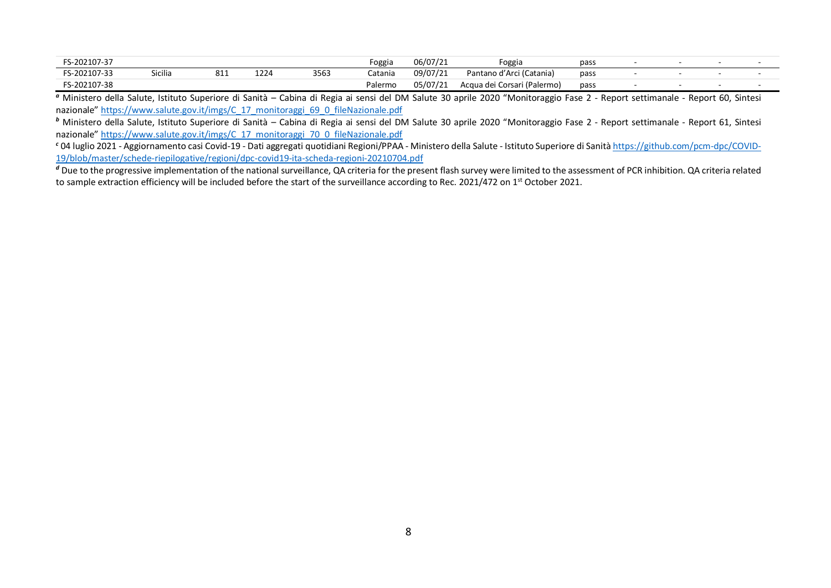| FS-202107-37 |                |           |      |      | Foggia  | 06/07/21 | Foggia                      | pass |  |  |
|--------------|----------------|-----------|------|------|---------|----------|-----------------------------|------|--|--|
| FS-202107-33 | <b>Sicilia</b> | 01<br>سده | 1224 | 3563 | Catania | 09/07/21 | Pantano d'Arci (Catania)    | pass |  |  |
| FS-202107-38 |                |           |      |      | Palermo | 05/07/21 | Acqua dei Corsari (Palermo) | pass |  |  |

*<sup>a</sup>* Ministero della Salute, Istituto Superiore di Sanità – Cabina di Regia ai sensi del DM Salute 30 aprile 2020 "Monitoraggio Fase 2 - Report settimanale - Report 60, Sintesi nazionale" [https://www.salute.gov.it/imgs/C\\_17\\_monitoraggi\\_69\\_0\\_fileNazionale.pdf](https://www.salute.gov.it/imgs/C_17_monitoraggi_69_0_fileNazionale.pdf)

*<sup>b</sup>* Ministero della Salute, Istituto Superiore di Sanità – Cabina di Regia ai sensi del DM Salute 30 aprile 2020 "Monitoraggio Fase 2 - Report settimanale - Report 61, Sintesi nazionale" [https://www.salute.gov.it/imgs/C\\_17\\_monitoraggi\\_70\\_0\\_fileNazionale.pdf](https://www.salute.gov.it/imgs/C_17_monitoraggi_70_0_fileNazionale.pdf)

*<sup>c</sup>* 04 luglio 2021 - Aggiornamento casi Covid-19 - Dati aggregati quotidiani Regioni/PPAA - Ministero della Salute - Istituto Superiore di Sanità [https://github.com/pcm-dpc/COVID-](https://github.com/pcm-dpc/COVID-19/blob/master/schede-riepilogative/regioni/dpc-covid19-ita-scheda-regioni-20210704.pdf)[19/blob/master/schede-riepilogative/regioni/dpc-covid19-ita-scheda-regioni-20210704.pdf](https://github.com/pcm-dpc/COVID-19/blob/master/schede-riepilogative/regioni/dpc-covid19-ita-scheda-regioni-20210704.pdf)

<sup>d</sup> Due to the progressive implementation of the national surveillance, QA criteria for the present flash survey were limited to the assessment of PCR inhibition. QA criteria related to sample extraction efficiency will be included before the start of the surveillance according to Rec. 2021/472 on 1<sup>st</sup> October 2021.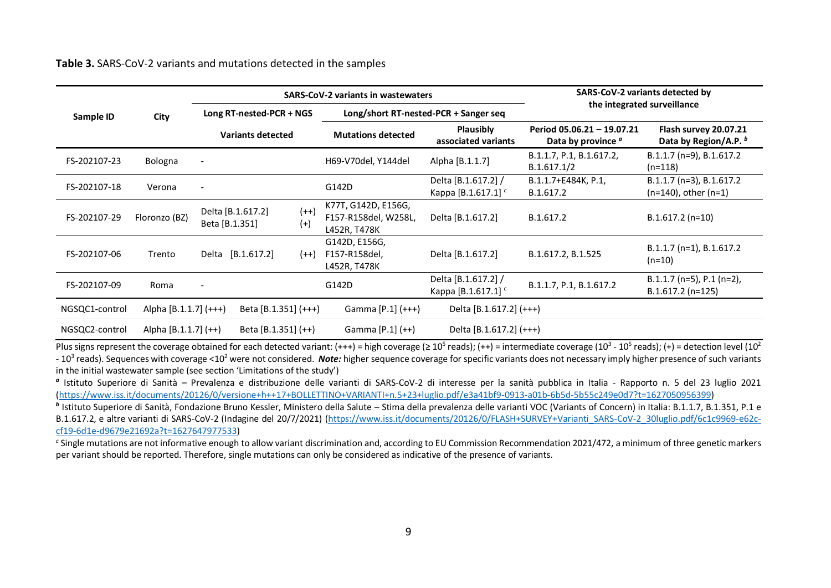**Table 3.** SARS-CoV-2 variants and mutations detected in the samples

|                |                       |                          |                                                        |        | <b>SARS-CoV-2 variants in wastewaters</b>                   | SARS-CoV-2 variants detected by                       |                                                  |                                                       |  |
|----------------|-----------------------|--------------------------|--------------------------------------------------------|--------|-------------------------------------------------------------|-------------------------------------------------------|--------------------------------------------------|-------------------------------------------------------|--|
| Sample ID      | City                  | Long RT-nested-PCR + NGS |                                                        |        | Long/short RT-nested-PCR + Sanger seq                       | the integrated surveillance                           |                                                  |                                                       |  |
|                |                       | <b>Variants detected</b> |                                                        |        | <b>Mutations detected</b>                                   | <b>Plausibly</b><br>associated variants               | Period 05.06.21 - 19.07.21<br>Data by province a | Flash survey 20.07.21<br>Data by Region/A.P. b        |  |
| FS-202107-23   | Bologna               |                          |                                                        |        | H69-V70del, Y144del                                         | Alpha [B.1.1.7]                                       | B.1.1.7, P.1, B.1.617.2,<br>B.1.617.1/2          | B.1.1.7 (n=9), B.1.617.2<br>$(n=118)$                 |  |
| FS-202107-18   | Verona                |                          |                                                        |        | G142D                                                       | Delta [B.1.617.2] /<br>Kappa [B.1.617.1] <sup>c</sup> | B.1.1.7+E484K, P.1,<br>B.1.617.2                 | B.1.1.7 (n=3), B.1.617.2<br>$(n=140)$ , other $(n=1)$ |  |
| FS-202107-29   | Floronzo (BZ)         |                          | $(++)$<br>Delta [B.1.617.2]<br>$(+)$<br>Beta [B.1.351] |        | K77T, G142D, E156G,<br>F157-R158del, W258L,<br>L452R, T478K | Delta [B.1.617.2]                                     | B.1.617.2                                        | $B.1.617.2 (n=10)$                                    |  |
| FS-202107-06   | Trento                |                          | Delta [B.1.617.2]                                      | $(++)$ | G142D, E156G,<br>F157-R158del,<br>L452R, T478K              | Delta [B.1.617.2]                                     | B.1.617.2, B.1.525                               | B.1.1.7 (n=1), B.1.617.2<br>$(n=10)$                  |  |
| FS-202107-09   | Roma                  |                          |                                                        |        | G142D                                                       | Delta [B.1.617.2] /<br>Kappa [B.1.617.1] <sup>c</sup> | B.1.1.7, P.1, B.1.617.2                          | $B.1.1.7$ (n=5), P.1 (n=2),<br>B.1.617.2 (n=125)      |  |
| NGSQC1-control | Alpha [B.1.1.7] (+++) |                          | Beta [B.1.351] (+++)                                   |        | Gamma [P.1] (+++)                                           | Delta [B.1.617.2] (+++)                               |                                                  |                                                       |  |
| NGSQC2-control | Alpha [B.1.1.7] (++)  |                          | Beta [B.1.351] (++)                                    |        | Gamma $[P.1]$ $(++)$                                        | Delta $[B.1.617.2]$ $(+++)$                           |                                                  |                                                       |  |

Plus signs represent the coverage obtained for each detected variant: (+++) = high coverage (≥ 10<sup>5</sup> reads); (++) = intermediate coverage (10<sup>3</sup> - 10<sup>5</sup> reads); (+) = detection level (10<sup>2</sup> - 10<sup>3</sup> reads). Sequences with coverage <10<sup>2</sup> were not considered. **Note:** higher sequence coverage for specific variants does not necessary imply higher presence of such variants in the initial wastewater sample (see section 'Limitations of the study')

*a* Istituto Superiore di Sanità – Prevalenza e distribuzione delle varianti di SARS-CoV-2 di interesse per la sanità pubblica in Italia - Rapporto n. 5 del 23 luglio 2021 [\(https://www.iss.it/documents/20126/0/versione+h++17+BOLLETTINO+VARIANTI+n.5+23+luglio.pdf/e3a41bf9-0913-a01b-6b5d-5b55c249e0d7?t=1627050956399\)](https://www.iss.it/documents/20126/0/versione+h++17+BOLLETTINO+VARIANTI+n.5+23+luglio.pdf/e3a41bf9-0913-a01b-6b5d-5b55c249e0d7?t=1627050956399)

*b* Istituto Superiore di Sanità, Fondazione Bruno Kessler, Ministero della Salute – Stima della prevalenza delle varianti VOC (Variants of Concern) in Italia: B.1.1.7, B.1.351, P.1 e B.1.617.2, e altre varianti di SARS-CoV-2 (Indagine del 20/7/2021) [\(https://www.iss.it/documents/20126/0/FLASH+SURVEY+Varianti\\_SARS-CoV-2\\_30luglio.pdf/6c1c9969-e62c](https://www.iss.it/documents/20126/0/FLASH+SURVEY+Varianti_SARS-CoV-2_30luglio.pdf/6c1c9969-e62c-cf19-6d1e-d9679e21692a?t=1627647977533)[cf19-6d1e-d9679e21692a?t=1627647977533\)](https://www.iss.it/documents/20126/0/FLASH+SURVEY+Varianti_SARS-CoV-2_30luglio.pdf/6c1c9969-e62c-cf19-6d1e-d9679e21692a?t=1627647977533)

*c* Single mutations are not informative enough to allow variant discrimination and, according to EU Commission Recommendation 2021/472, a minimum of three genetic markers per variant should be reported. Therefore, single mutations can only be considered as indicative of the presence of variants.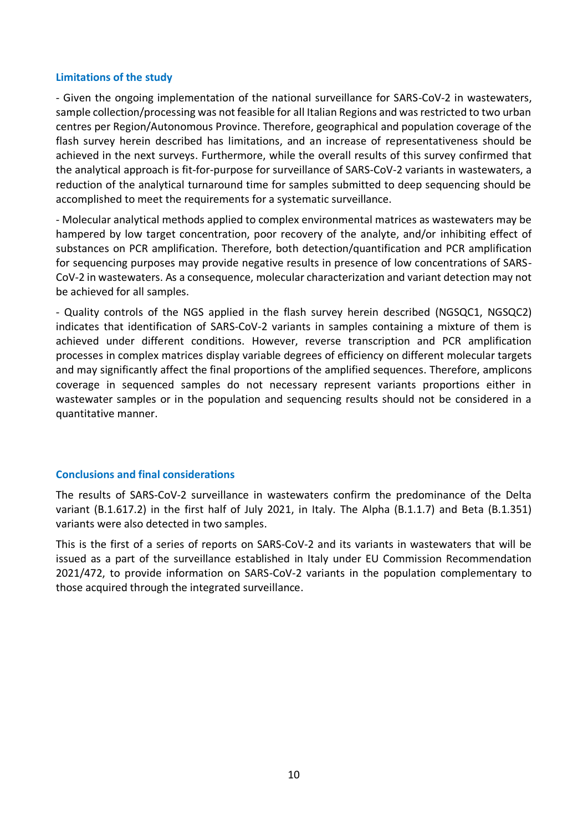#### **Limitations of the study**

- Given the ongoing implementation of the national surveillance for SARS-CoV-2 in wastewaters, sample collection/processing was not feasible for all Italian Regions and was restricted to two urban centres per Region/Autonomous Province. Therefore, geographical and population coverage of the flash survey herein described has limitations, and an increase of representativeness should be achieved in the next surveys. Furthermore, while the overall results of this survey confirmed that the analytical approach is fit-for-purpose for surveillance of SARS-CoV-2 variants in wastewaters, a reduction of the analytical turnaround time for samples submitted to deep sequencing should be accomplished to meet the requirements for a systematic surveillance.

- Molecular analytical methods applied to complex environmental matrices as wastewaters may be hampered by low target concentration, poor recovery of the analyte, and/or inhibiting effect of substances on PCR amplification. Therefore, both detection/quantification and PCR amplification for sequencing purposes may provide negative results in presence of low concentrations of SARS-CoV-2 in wastewaters. As a consequence, molecular characterization and variant detection may not be achieved for all samples.

- Quality controls of the NGS applied in the flash survey herein described (NGSQC1, NGSQC2) indicates that identification of SARS-CoV-2 variants in samples containing a mixture of them is achieved under different conditions. However, reverse transcription and PCR amplification processes in complex matrices display variable degrees of efficiency on different molecular targets and may significantly affect the final proportions of the amplified sequences. Therefore, amplicons coverage in sequenced samples do not necessary represent variants proportions either in wastewater samples or in the population and sequencing results should not be considered in a quantitative manner.

#### **Conclusions and final considerations**

The results of SARS-CoV-2 surveillance in wastewaters confirm the predominance of the Delta variant (B.1.617.2) in the first half of July 2021, in Italy. The Alpha (B.1.1.7) and Beta (B.1.351) variants were also detected in two samples.

This is the first of a series of reports on SARS-CoV-2 and its variants in wastewaters that will be issued as a part of the surveillance established in Italy under EU Commission Recommendation 2021/472, to provide information on SARS-CoV-2 variants in the population complementary to those acquired through the integrated surveillance.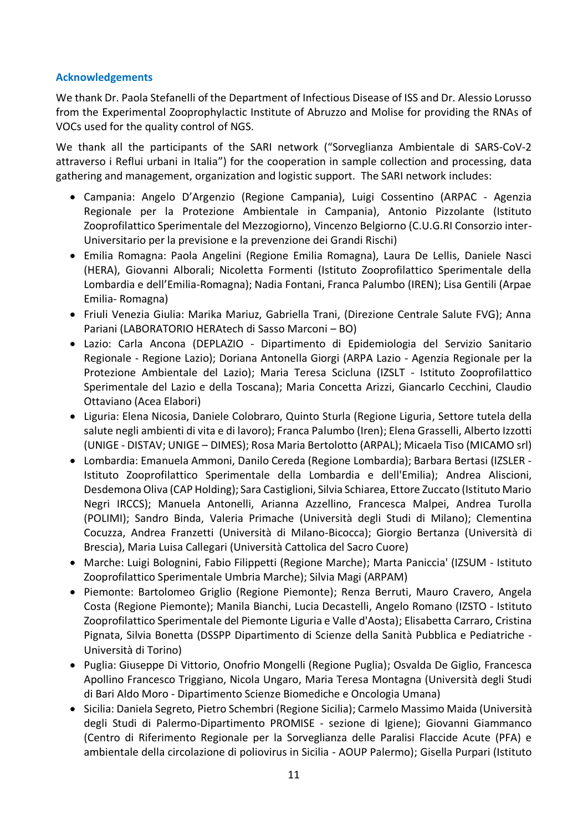#### **Acknowledgements**

We thank Dr. Paola Stefanelli of the Department of Infectious Disease of ISS and Dr. Alessio Lorusso from the Experimental Zooprophylactic Institute of Abruzzo and Molise for providing the RNAs of VOCs used for the quality control of NGS.

We thank all the participants of the SARI network ("Sorveglianza Ambientale di SARS-CoV-2 attraverso i Reflui urbani in Italia") for the cooperation in sample collection and processing, data gathering and management, organization and logistic support. The SARI network includes:

- Campania: Angelo D'Argenzio (Regione Campania), Luigi Cossentino (ARPAC Agenzia Regionale per la Protezione Ambientale in Campania), Antonio Pizzolante (Istituto Zooprofilattico Sperimentale del Mezzogiorno), Vincenzo Belgiorno (C.U.G.RI Consorzio inter-Universitario per la previsione e la prevenzione dei Grandi Rischi)
- Emilia Romagna: Paola Angelini (Regione Emilia Romagna), Laura De Lellis, Daniele Nasci (HERA), Giovanni Alborali; Nicoletta Formenti (Istituto Zooprofilattico Sperimentale della Lombardia e dell'Emilia-Romagna); Nadia Fontani, Franca Palumbo (IREN); Lisa Gentili (Arpae Emilia- Romagna)
- Friuli Venezia Giulia: Marika Mariuz, Gabriella Trani, (Direzione Centrale Salute FVG); Anna Pariani (LABORATORIO HERAtech di Sasso Marconi – BO)
- Lazio: Carla Ancona (DEPLAZIO Dipartimento di Epidemiologia del Servizio Sanitario Regionale - Regione Lazio); Doriana Antonella Giorgi (ARPA Lazio - Agenzia Regionale per la Protezione Ambientale del Lazio); Maria Teresa Scicluna (IZSLT - Istituto Zooprofilattico Sperimentale del Lazio e della Toscana); Maria Concetta Arizzi, Giancarlo Cecchini, Claudio Ottaviano (Acea Elabori)
- Liguria: Elena Nicosia, Daniele Colobraro, Quinto Sturla (Regione Liguria, Settore tutela della salute negli ambienti di vita e di lavoro); Franca Palumbo (Iren); Elena Grasselli, Alberto Izzotti (UNIGE - DISTAV; UNIGE – DIMES); Rosa Maria Bertolotto (ARPAL); Micaela Tiso (MICAMO srl)
- Lombardia: Emanuela Ammoni, Danilo Cereda (Regione Lombardia); Barbara Bertasi (IZSLER Istituto Zooprofilattico Sperimentale della Lombardia e dell'Emilia); Andrea Aliscioni, Desdemona Oliva (CAP Holding); Sara Castiglioni, Silvia Schiarea, Ettore Zuccato (Istituto Mario Negri IRCCS); Manuela Antonelli, Arianna Azzellino, Francesca Malpei, Andrea Turolla (POLIMI); Sandro Binda, Valeria Primache (Università degli Studi di Milano); Clementina Cocuzza, Andrea Franzetti (Università di Milano-Bicocca); Giorgio Bertanza (Università di Brescia), Maria Luisa Callegari (Università Cattolica del Sacro Cuore)
- Marche: Luigi Bolognini, Fabio Filippetti (Regione Marche); Marta Paniccia' (IZSUM Istituto Zooprofilattico Sperimentale Umbria Marche); Silvia Magi (ARPAM)
- Piemonte: Bartolomeo Griglio (Regione Piemonte); Renza Berruti, Mauro Cravero, Angela Costa (Regione Piemonte); Manila Bianchi, Lucia Decastelli, Angelo Romano (IZSTO - Istituto Zooprofilattico Sperimentale del Piemonte Liguria e Valle d'Aosta); Elisabetta Carraro, Cristina Pignata, Silvia Bonetta (DSSPP Dipartimento di Scienze della Sanità Pubblica e Pediatriche - Università di Torino)
- Puglia: Giuseppe Di Vittorio, Onofrio Mongelli (Regione Puglia); Osvalda De Giglio, Francesca Apollino Francesco Triggiano, Nicola Ungaro, Maria Teresa Montagna (Università degli Studi di Bari Aldo Moro - Dipartimento Scienze Biomediche e Oncologia Umana)
- Sicilia: Daniela Segreto, Pietro Schembri (Regione Sicilia); Carmelo Massimo Maida (Università degli Studi di Palermo-Dipartimento PROMISE - sezione di Igiene); Giovanni Giammanco (Centro di Riferimento Regionale per la Sorveglianza delle Paralisi Flaccide Acute (PFA) e ambientale della circolazione di poliovirus in Sicilia - AOUP Palermo); Gisella Purpari (Istituto